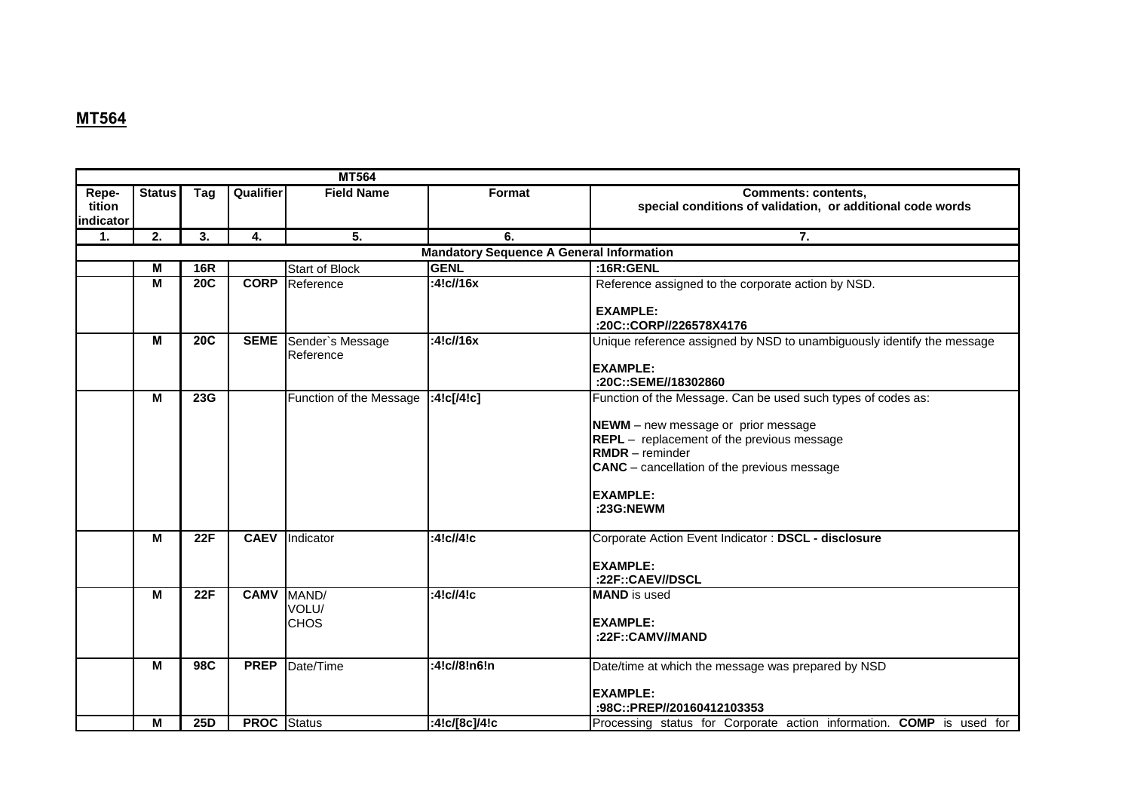## **МТ564**

|                                                 | <b>MT564</b>  |            |                    |                               |               |                                                                                                                                                                                                                                                                   |  |  |
|-------------------------------------------------|---------------|------------|--------------------|-------------------------------|---------------|-------------------------------------------------------------------------------------------------------------------------------------------------------------------------------------------------------------------------------------------------------------------|--|--|
| Repe-<br>tition<br>indicator                    | <b>Status</b> | Tag        | Qualifier          | <b>Field Name</b>             | Format        | <b>Comments: contents,</b><br>special conditions of validation, or additional code words                                                                                                                                                                          |  |  |
| 1.                                              | 2.            | 3.         | 4.                 | $\overline{5}$ .              | 6.            | 7.                                                                                                                                                                                                                                                                |  |  |
| <b>Mandatory Sequence A General Information</b> |               |            |                    |                               |               |                                                                                                                                                                                                                                                                   |  |  |
|                                                 | M             | <b>16R</b> |                    | <b>Start of Block</b>         | <b>GENL</b>   | :16 $R:GENL$                                                                                                                                                                                                                                                      |  |  |
|                                                 | M             | <b>20C</b> | <b>CORP</b>        | Reference                     | :4!c//16x     | Reference assigned to the corporate action by NSD.<br><b>EXAMPLE:</b><br>:20C::CORP//226578X4176                                                                                                                                                                  |  |  |
|                                                 | M             | <b>20C</b> | <b>SEME</b>        | Sender's Message<br>Reference | :4!c/16x      | Unique reference assigned by NSD to unambiguously identify the message<br><b>EXAMPLE:</b><br>:20C::SEME//18302860                                                                                                                                                 |  |  |
|                                                 | M             | 23G        |                    | Function of the Message       | :4!c[/4!c]    | Function of the Message. Can be used such types of codes as:<br>NEWM - new message or prior message<br>REPL - replacement of the previous message<br><b>RMDR</b> - reminder<br><b>CANC</b> – cancellation of the previous message<br><b>EXAMPLE:</b><br>:23G:NEWM |  |  |
|                                                 | M             | 22F        | <b>CAEV</b>        | Indicator                     | :4!c//4!c     | Corporate Action Event Indicator: DSCL - disclosure<br><b>EXAMPLE:</b><br>:22F::CAEV//DSCL                                                                                                                                                                        |  |  |
|                                                 | M             | 22F        | <b>CAMV</b>        | MAND/<br>VOLU/<br><b>CHOS</b> | :4!c//4!c     | <b>MAND</b> is used<br><b>EXAMPLE:</b><br>:22F::CAMV//MAND                                                                                                                                                                                                        |  |  |
|                                                 | M             | <b>98C</b> | <b>PREP</b>        | Date/Time                     | :4!c//8!n6!n  | Date/time at which the message was prepared by NSD<br><b>EXAMPLE:</b><br>:98C::PREP//20160412103353                                                                                                                                                               |  |  |
|                                                 | M             | 25D        | <b>PROC</b> Status |                               | :4!c/[8c]/4!c | Processing status for Corporate action information. COMP is used for                                                                                                                                                                                              |  |  |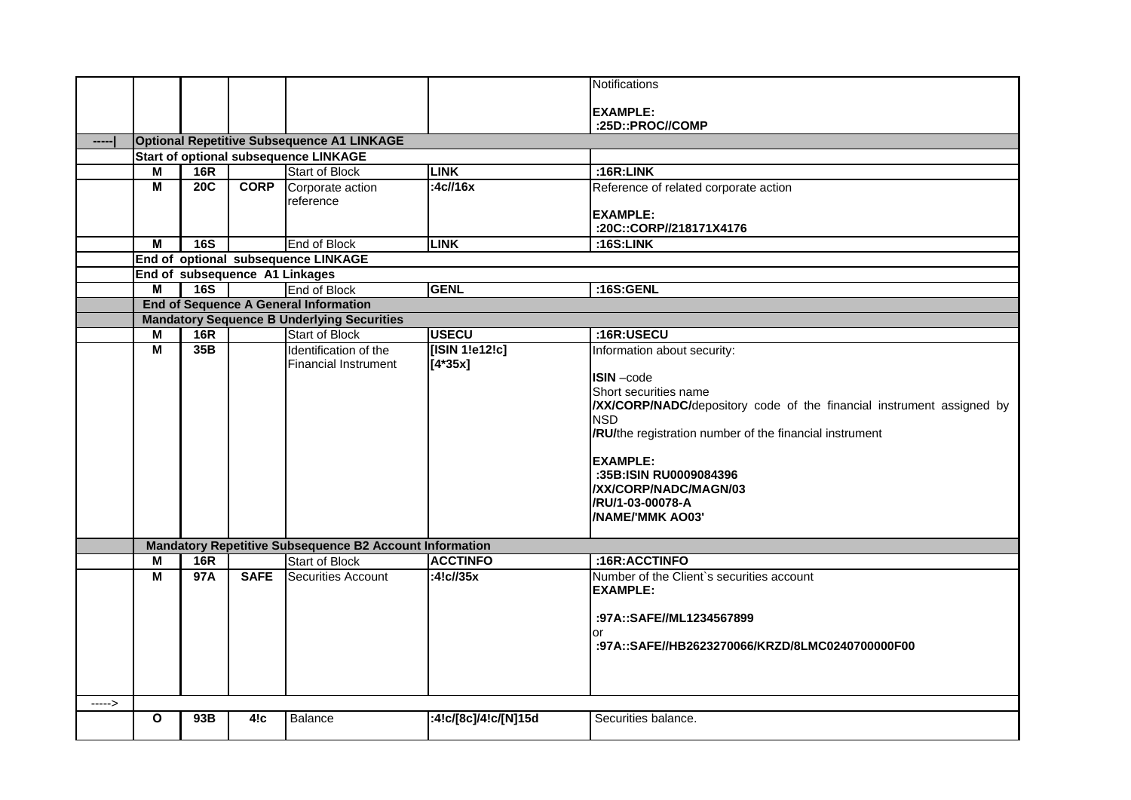|        |                         |     |                                |                                                                                                   |                      | Notifications                                                        |
|--------|-------------------------|-----|--------------------------------|---------------------------------------------------------------------------------------------------|----------------------|----------------------------------------------------------------------|
|        |                         |     |                                |                                                                                                   |                      |                                                                      |
|        |                         |     |                                |                                                                                                   |                      | <b>EXAMPLE:</b>                                                      |
|        |                         |     |                                |                                                                                                   |                      | :25D::PROC//COMP                                                     |
|        |                         |     |                                | <b>Optional Repetitive Subsequence A1 LINKAGE</b><br><b>Start of optional subsequence LINKAGE</b> |                      |                                                                      |
|        | M                       | 16R |                                | <b>Start of Block</b>                                                                             | <b>LINK</b>          | :16R:LINK                                                            |
|        | $\overline{\mathsf{M}}$ | 20C | <b>CORP</b>                    | Corporate action                                                                                  | :4c//16x             | Reference of related corporate action                                |
|        |                         |     |                                | reference                                                                                         |                      |                                                                      |
|        |                         |     |                                |                                                                                                   |                      | <b>EXAMPLE:</b>                                                      |
|        |                         |     |                                |                                                                                                   |                      | :20C::CORP//218171X4176                                              |
|        | M                       | 16S |                                | End of Block                                                                                      | <b>LINK</b>          | :16S:LINK                                                            |
|        |                         |     |                                | End of optional subsequence LINKAGE                                                               |                      |                                                                      |
|        |                         |     | End of subsequence A1 Linkages |                                                                                                   |                      |                                                                      |
|        | M                       | 16S |                                | End of Block                                                                                      | <b>GENL</b>          | :16S:GENL                                                            |
|        |                         |     |                                | <b>End of Sequence A General Information</b>                                                      |                      |                                                                      |
|        |                         |     |                                | <b>Mandatory Sequence B Underlying Securities</b>                                                 |                      |                                                                      |
|        | M                       | 16R |                                | <b>Start of Block</b>                                                                             | <b>USECU</b>         | :16R:USECU                                                           |
|        | M                       | 35B |                                | Identification of the                                                                             | [ISIN 1!e12!c]       | Information about security:                                          |
|        |                         |     |                                | <b>Financial Instrument</b>                                                                       | $[4*35x]$            |                                                                      |
|        |                         |     |                                |                                                                                                   |                      | ISIN-code                                                            |
|        |                         |     |                                |                                                                                                   |                      | Short securities name                                                |
|        |                         |     |                                |                                                                                                   |                      | XX/CORP/NADC/depository code of the financial instrument assigned by |
|        |                         |     |                                |                                                                                                   |                      | <b>NSD</b>                                                           |
|        |                         |     |                                |                                                                                                   |                      | /RU/the registration number of the financial instrument              |
|        |                         |     |                                |                                                                                                   |                      |                                                                      |
|        |                         |     |                                |                                                                                                   |                      | <b>EXAMPLE:</b>                                                      |
|        |                         |     |                                |                                                                                                   |                      | :35B:ISIN RU0009084396<br>/XX/CORP/NADC/MAGN/03                      |
|        |                         |     |                                |                                                                                                   |                      | /RU/1-03-00078-A                                                     |
|        |                         |     |                                |                                                                                                   |                      | /NAME/'MMK AO03'                                                     |
|        |                         |     |                                |                                                                                                   |                      |                                                                      |
|        |                         |     |                                | <b>Mandatory Repetitive Subsequence B2 Account Information</b>                                    |                      |                                                                      |
|        | M                       | 16R |                                | <b>Start of Block</b>                                                                             | <b>ACCTINFO</b>      | :16R:ACCTINFO                                                        |
|        | $\overline{\mathsf{M}}$ | 97A | <b>SAFE</b>                    | Securities Account                                                                                | :4! $c$ //35 $x$     | Number of the Client's securities account                            |
|        |                         |     |                                |                                                                                                   |                      | <b>EXAMPLE:</b>                                                      |
|        |                         |     |                                |                                                                                                   |                      |                                                                      |
|        |                         |     |                                |                                                                                                   |                      | :97A::SAFE//ML1234567899                                             |
|        |                         |     |                                |                                                                                                   |                      | or                                                                   |
|        |                         |     |                                |                                                                                                   |                      | :97A::SAFE//HB2623270066/KRZD/8LMC0240700000F00                      |
|        |                         |     |                                |                                                                                                   |                      |                                                                      |
|        |                         |     |                                |                                                                                                   |                      |                                                                      |
|        |                         |     |                                |                                                                                                   |                      |                                                                      |
| -----> |                         |     |                                |                                                                                                   |                      |                                                                      |
|        | O                       | 93B | 4!c                            | Balance                                                                                           | :4!c/[8c]/4!c/[N]15d | Securities balance.                                                  |
|        |                         |     |                                |                                                                                                   |                      |                                                                      |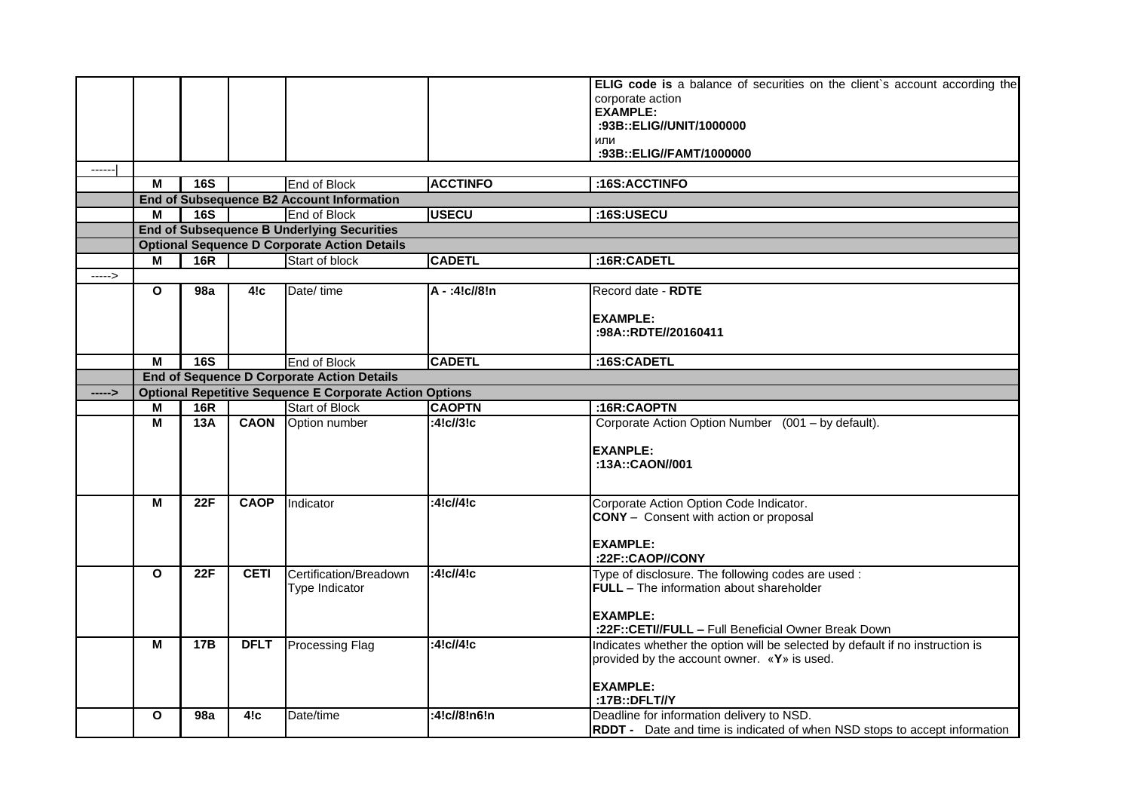|        |                         |                                                     |             |                                                                |                 | ELIG code is a balance of securities on the client's account according the       |  |  |
|--------|-------------------------|-----------------------------------------------------|-------------|----------------------------------------------------------------|-----------------|----------------------------------------------------------------------------------|--|--|
|        |                         |                                                     |             |                                                                |                 | corporate action                                                                 |  |  |
|        |                         |                                                     |             |                                                                |                 | <b>EXAMPLE:</b>                                                                  |  |  |
|        |                         |                                                     |             |                                                                |                 | :93B::ELIG//UNIT/1000000                                                         |  |  |
|        |                         |                                                     |             |                                                                |                 | или                                                                              |  |  |
|        |                         |                                                     |             |                                                                |                 | :93B::ELIG//FAMT/1000000                                                         |  |  |
| -----  |                         |                                                     |             |                                                                |                 |                                                                                  |  |  |
|        | M                       | 16S                                                 |             | <b>End of Block</b>                                            | <b>ACCTINFO</b> | :16S:ACCTINFO                                                                    |  |  |
|        |                         |                                                     |             | End of Subsequence B2 Account Information                      |                 |                                                                                  |  |  |
|        | M                       | <b>16S</b>                                          |             | End of Block                                                   | <b>USECU</b>    | :16S:USECU                                                                       |  |  |
|        |                         |                                                     |             | <b>End of Subsequence B Underlying Securities</b>              |                 |                                                                                  |  |  |
|        |                         | <b>Optional Sequence D Corporate Action Details</b> |             |                                                                |                 |                                                                                  |  |  |
|        | м                       | <b>16R</b>                                          |             | Start of block                                                 | <b>CADETL</b>   | :16R:CADETL                                                                      |  |  |
| -----> |                         |                                                     |             |                                                                |                 |                                                                                  |  |  |
|        | $\mathbf{o}$            | 98a                                                 | 4!c         | Date/ time                                                     | A - :4!c//8!n   | Record date - RDTE                                                               |  |  |
|        |                         |                                                     |             |                                                                |                 |                                                                                  |  |  |
|        |                         |                                                     |             |                                                                |                 | <b>EXAMPLE:</b>                                                                  |  |  |
|        |                         |                                                     |             |                                                                |                 | :98A::RDTE//20160411                                                             |  |  |
|        |                         |                                                     |             |                                                                |                 |                                                                                  |  |  |
|        | M                       | 16S                                                 |             | End of Block                                                   | <b>CADETL</b>   | :16S:CADETL                                                                      |  |  |
|        |                         | <b>End of Sequence D Corporate Action Details</b>   |             |                                                                |                 |                                                                                  |  |  |
| -----> |                         |                                                     |             | <b>Optional Repetitive Sequence E Corporate Action Options</b> |                 |                                                                                  |  |  |
|        | M                       | <b>16R</b>                                          |             | <b>Start of Block</b>                                          | <b>CAOPTN</b>   | :16R:CAOPTN                                                                      |  |  |
|        | $\overline{M}$          | 13A                                                 | <b>CAON</b> | Option number                                                  | :4!c//3!c       | Corporate Action Option Number (001 - by default).                               |  |  |
|        |                         |                                                     |             |                                                                |                 |                                                                                  |  |  |
|        |                         |                                                     |             |                                                                |                 | <b>EXANPLE:</b>                                                                  |  |  |
|        |                         |                                                     |             |                                                                |                 | :13A::CAON//001                                                                  |  |  |
|        |                         |                                                     |             |                                                                |                 |                                                                                  |  |  |
|        | M                       | 22F                                                 | <b>CAOP</b> | Indicator                                                      | :4!c//4!c       | Corporate Action Option Code Indicator.                                          |  |  |
|        |                         |                                                     |             |                                                                |                 | <b>CONY</b> - Consent with action or proposal                                    |  |  |
|        |                         |                                                     |             |                                                                |                 |                                                                                  |  |  |
|        |                         |                                                     |             |                                                                |                 | <b>EXAMPLE:</b>                                                                  |  |  |
|        |                         |                                                     |             |                                                                |                 | :22F::CAOP//CONY                                                                 |  |  |
|        | $\overline{\mathbf{o}}$ | 22F                                                 | <b>CETI</b> | Certification/Breadown                                         | :4!c/4!c        | Type of disclosure. The following codes are used :                               |  |  |
|        |                         |                                                     |             | Type Indicator                                                 |                 | FULL - The information about shareholder                                         |  |  |
|        |                         |                                                     |             |                                                                |                 |                                                                                  |  |  |
|        |                         |                                                     |             |                                                                |                 | <b>EXAMPLE:</b>                                                                  |  |  |
|        |                         |                                                     |             |                                                                |                 | :22F::CETI//FULL - Full Beneficial Owner Break Down                              |  |  |
|        | M                       | 17B                                                 | <b>DFLT</b> | <b>Processing Flag</b>                                         | :4!c/4!c        | Indicates whether the option will be selected by default if no instruction is    |  |  |
|        |                         |                                                     |             |                                                                |                 | provided by the account owner. «Y» is used.                                      |  |  |
|        |                         |                                                     |             |                                                                |                 |                                                                                  |  |  |
|        |                         |                                                     |             |                                                                |                 | <b>EXAMPLE:</b>                                                                  |  |  |
|        |                         |                                                     |             |                                                                |                 | :17B::DFLT//Y                                                                    |  |  |
|        | $\mathbf{o}$            | 98a                                                 | 4!c         | Date/time                                                      | :4!c//8!n6!n    | Deadline for information delivery to NSD.                                        |  |  |
|        |                         |                                                     |             |                                                                |                 | <b>RDDT</b> - Date and time is indicated of when NSD stops to accept information |  |  |